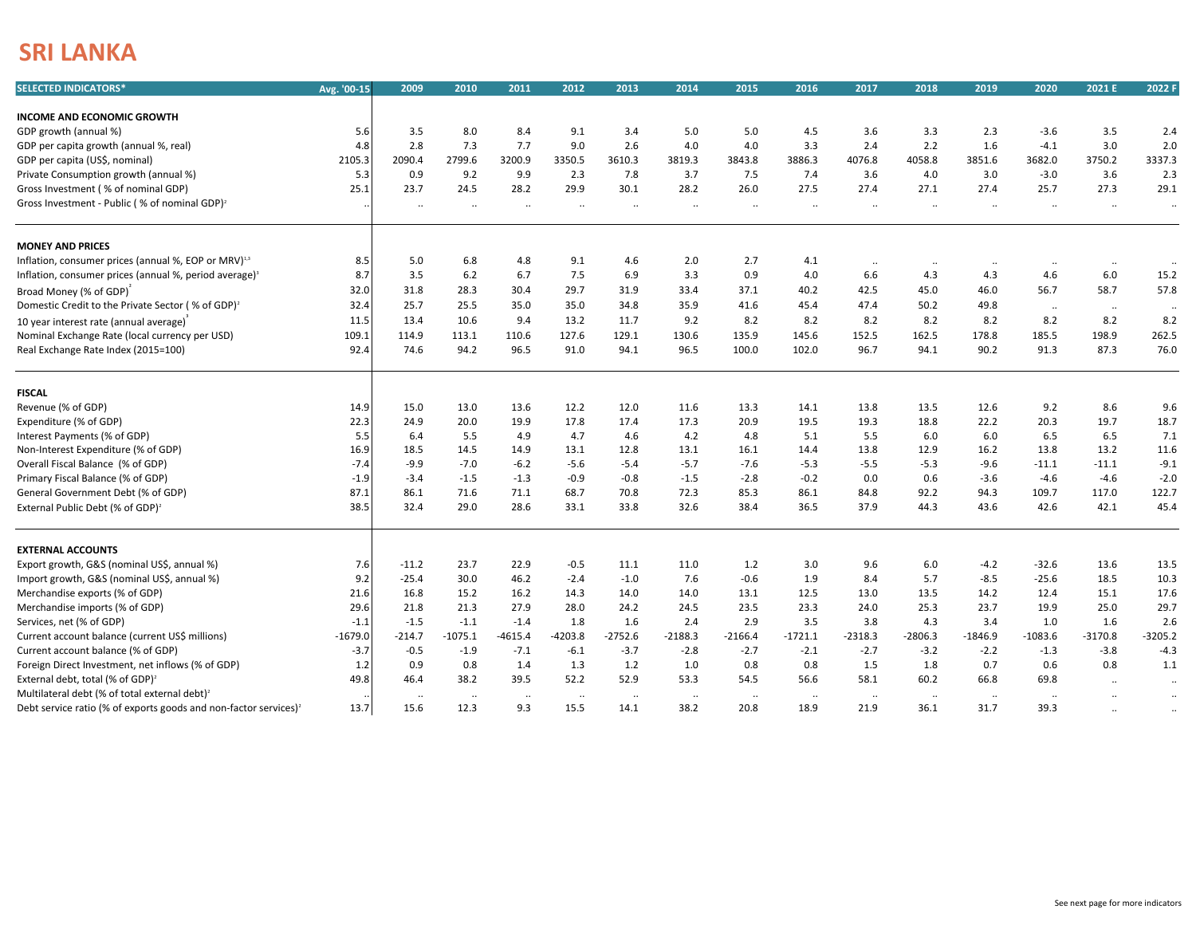## **SRI LANKA**

| <b>SELECTED INDICATORS*</b>                                                  | Avg. '00-15 | 2009            | 2010             | 2011           | 2012              | 2013            | 2014              | 2015                 | 2016            | 2017      | 2018                 | 2019              | 2020      | 2021 E               | 2022 F                |
|------------------------------------------------------------------------------|-------------|-----------------|------------------|----------------|-------------------|-----------------|-------------------|----------------------|-----------------|-----------|----------------------|-------------------|-----------|----------------------|-----------------------|
|                                                                              |             |                 |                  |                |                   |                 |                   |                      |                 |           |                      |                   |           |                      |                       |
| <b>INCOME AND ECONOMIC GROWTH</b>                                            |             |                 |                  |                |                   |                 |                   |                      |                 |           |                      |                   |           |                      |                       |
| GDP growth (annual %)                                                        | 5.6         | 3.5             | 8.0              | 8.4            | 9.1               | 3.4             | 5.0               | 5.0                  | 4.5             | 3.6       | 3.3                  | 2.3               | $-3.6$    | 3.5                  | 2.4                   |
| GDP per capita growth (annual %, real)                                       | 4.8         | 2.8             | 7.3              | 7.7            | 9.0               | 2.6             | 4.0               | 4.0                  | 3.3             | 2.4       | 2.2                  | 1.6               | $-4.1$    | 3.0                  | 2.0                   |
| GDP per capita (US\$, nominal)                                               | 2105.3      | 2090.4          | 2799.6           | 3200.9         | 3350.5            | 3610.3          | 3819.3            | 3843.8               | 3886.3          | 4076.8    | 4058.8               | 3851.6            | 3682.0    | 3750.2               | 3337.3                |
| Private Consumption growth (annual %)                                        | 5.3         | 0.9             | 9.2              | 9.9            | 2.3               | 7.8             | 3.7               | 7.5                  | 7.4             | 3.6       | 4.0                  | 3.0               | $-3.0$    | 3.6                  | 2.3                   |
| Gross Investment (% of nominal GDP)                                          | 25.1        | 23.7            | 24.5             | 28.2           | 29.9              | 30.1            | 28.2              | 26.0                 | 27.5            | 27.4      | 27.1                 | 27.4              | 25.7      | 27.3                 | 29.1                  |
| Gross Investment - Public (% of nominal GDP) <sup>2</sup>                    |             |                 | $\ldots$         | $\cdot\cdot$   | $\ldots$          | $\ldots$        | $\ddotsc$         | $\ddotsc$            | $\ddotsc$       | ٠.        | $\ddotsc$            | $\ddotsc$         | $\ldots$  | $\ldots$             | $\cdot\cdot$          |
| <b>MONEY AND PRICES</b>                                                      |             |                 |                  |                |                   |                 |                   |                      |                 |           |                      |                   |           |                      |                       |
| Inflation, consumer prices (annual %, EOP or MRV) <sup>1,3</sup>             | 8.5         | 5.0             | 6.8              | 4.8            | 9.1               | 4.6             | 2.0               | 2.7                  | 4.1             | $\ddotsc$ | $\ddotsc$            | $\cdot$           | $\cdot$ . | $\ddotsc$            | $\ddotsc$             |
| Inflation, consumer prices (annual %, period average) <sup>3</sup>           | 8.7         | 3.5             | 6.2              | 6.7            | 7.5               | 6.9             | 3.3               | 0.9                  | 4.0             | 6.6       | 4.3                  | 4.3               | 4.6       | $6.0\,$              | 15.2                  |
| Broad Money (% of GDP)                                                       | 32.0        | 31.8            | 28.3             | 30.4           | 29.7              | 31.9            | 33.4              | 37.1                 | 40.2            | 42.5      | 45.0                 | 46.0              | 56.7      | 58.7                 | 57.8                  |
| Domestic Credit to the Private Sector (% of GDP) <sup>2</sup>                | 32.4        | 25.7            | 25.5             | 35.0           | 35.0              | 34.8            | 35.9              | 41.6                 | 45.4            | 47.4      | 50.2                 | 49.8              | $\ddotsc$ | $\ldots$             | $\sim$                |
| 10 year interest rate (annual average)                                       | 11.5        | 13.4            | 10.6             | 9.4            | 13.2              | 11.7            | 9.2               | 8.2                  | 8.2             | 8.2       | 8.2                  | 8.2               | 8.2       | 8.2                  | 8.2                   |
| Nominal Exchange Rate (local currency per USD)                               | 109.1       | 114.9           | 113.1            | 110.6          | 127.6             | 129.1           | 130.6             | 135.9                | 145.6           | 152.5     | 162.5                | 178.8             | 185.5     | 198.9                | 262.5                 |
| Real Exchange Rate Index (2015=100)                                          | 92.4        | 74.6            | 94.2             | 96.5           | 91.0              | 94.1            | 96.5              | 100.0                | 102.0           | 96.7      | 94.1                 | 90.2              | 91.3      | 87.3                 | 76.0                  |
|                                                                              |             |                 |                  |                |                   |                 |                   |                      |                 |           |                      |                   |           |                      |                       |
| <b>FISCAL</b>                                                                |             |                 |                  |                |                   |                 |                   |                      |                 |           |                      |                   |           |                      |                       |
| Revenue (% of GDP)                                                           | 14.9        | 15.0            | 13.0             | 13.6           | 12.2              | 12.0            | 11.6              | 13.3                 | 14.1            | 13.8      | 13.5                 | 12.6              | 9.2       | 8.6                  | 9.6                   |
| Expenditure (% of GDP)                                                       | 22.3        | 24.9            | 20.0             | 19.9           | 17.8              | 17.4            | 17.3              | 20.9                 | 19.5            | 19.3      | 18.8                 | 22.2              | 20.3      | 19.7                 | 18.7                  |
| Interest Payments (% of GDP)                                                 | 5.5         | 6.4             | 5.5              | 4.9            | 4.7               | 4.6             | 4.2               | 4.8                  | 5.1             | 5.5       | 6.0                  | 6.0               | 6.5       | 6.5                  | 7.1                   |
| Non-Interest Expenditure (% of GDP)                                          | 16.9        | 18.5            | 14.5             | 14.9           | 13.1              | 12.8            | 13.1              | 16.1                 | 14.4            | 13.8      | 12.9                 | 16.2              | 13.8      | 13.2                 | 11.6                  |
| Overall Fiscal Balance (% of GDP)                                            | $-7.4$      | $-9.9$          | $-7.0$           | $-6.2$         | $-5.6$            | $-5.4$          | $-5.7$            | $-7.6$               | $-5.3$          | $-5.5$    | $-5.3$               | $-9.6$            | $-11.1$   | $-11.1$              | $-9.1$                |
| Primary Fiscal Balance (% of GDP)                                            | $-1.9$      | $-3.4$          | $-1.5$           | $-1.3$         | $-0.9$            | $-0.8$          | $-1.5$            | $-2.8$               | $-0.2$          | 0.0       | 0.6                  | $-3.6$            | $-4.6$    | $-4.6$               | $-2.0$                |
| General Government Debt (% of GDP)                                           | 87.1        | 86.1            | 71.6             | 71.1           | 68.7              | 70.8            | 72.3              | 85.3                 | 86.1            | 84.8      | 92.2                 | 94.3              | 109.7     | 117.0                | 122.7                 |
| External Public Debt (% of GDP) <sup>2</sup>                                 | 38.5        | 32.4            | 29.0             | 28.6           | 33.1              | 33.8            | 32.6              | 38.4                 | 36.5            | 37.9      | 44.3                 | 43.6              | 42.6      | 42.1                 | 45.4                  |
| <b>EXTERNAL ACCOUNTS</b>                                                     |             |                 |                  |                |                   |                 |                   |                      |                 |           |                      |                   |           |                      |                       |
| Export growth, G&S (nominal US\$, annual %)                                  | 7.6         | $-11.2$         | 23.7             | 22.9           | $-0.5$            | 11.1            | 11.0              | 1.2                  | 3.0             | 9.6       | 6.0                  | $-4.2$            | $-32.6$   | 13.6                 | 13.5                  |
| Import growth, G&S (nominal US\$, annual %)                                  | 9.2         | $-25.4$         | 30.0             | 46.2           | $-2.4$            | $-1.0$          | 7.6               | $-0.6$               | 1.9             | 8.4       | 5.7                  | $-8.5$            | $-25.6$   | 18.5                 | 10.3                  |
| Merchandise exports (% of GDP)                                               | 21.6        | 16.8            | 15.2             | 16.2           | 14.3              | 14.0            | 14.0              | 13.1                 | 12.5            | 13.0      | 13.5                 | 14.2              | 12.4      | 15.1                 | 17.6                  |
| Merchandise imports (% of GDP)                                               | 29.6        | 21.8            | 21.3             | 27.9           | 28.0              | 24.2            | 24.5              | 23.5                 | 23.3            | 24.0      | 25.3                 | 23.7              | 19.9      | 25.0                 | 29.7                  |
| Services, net (% of GDP)                                                     | $-1.1$      | $-1.5$          | $-1.1$           | $-1.4$         | 1.8               | 1.6             | 2.4               | 2.9                  | 3.5             | 3.8       | 4.3                  | 3.4               | 1.0       | 1.6                  | 2.6                   |
| Current account balance (current US\$ millions)                              | $-1679.0$   | $-214.7$        | $-1075.1$        | $-4615.4$      | $-4203.8$         | $-2752.6$       | $-2188.3$         | $-2166.4$            | $-1721.1$       | $-2318.3$ | $-2806.3$            | $-1846.9$         | $-1083.6$ | $-3170.8$            | $-3205.2$             |
| Current account balance (% of GDP)                                           | $-3.7$      | $-0.5$          | $-1.9$           | $-7.1$         | $-6.1$            | $-3.7$          | $-2.8$            | $-2.7$               | $-2.1$          | $-2.7$    | $-3.2$               | $-2.2$            | $-1.3$    | $-3.8$               | $-4.3$                |
| Foreign Direct Investment, net inflows (% of GDP)                            | 1.2         | 0.9             | 0.8              | 1.4            | 1.3               | 1.2             | 1.0               | 0.8                  | 0.8             | 1.5       | 1.8                  | 0.7               | 0.6       | 0.8                  | 1.1                   |
| External debt, total (% of GDP) <sup>2</sup>                                 | 49.8        | 46.4            | 38.2             | 39.5           | 52.2              | 52.9            | 53.3              | 54.5                 | 56.6            | 58.1      | 60.2                 | 66.8              | 69.8      |                      |                       |
| Multilateral debt (% of total external debt) <sup>2</sup>                    |             |                 |                  |                |                   |                 |                   |                      |                 |           |                      |                   |           | $\ddot{\phantom{a}}$ | $\cdot$               |
| Debt service ratio (% of exports goods and non-factor services) <sup>2</sup> | 13.7        | $\cdot$<br>15.6 | $\ldots$<br>12.3 | $\cdot$<br>9.3 | $\ddotsc$<br>15.5 | $\cdot$<br>14.1 | $\ddotsc$<br>38.2 | $\cdot\cdot$<br>20.8 | $\cdot$<br>18.9 | <br>21.9  | $\cdot\cdot$<br>36.1 | $\cdot$ .<br>31.7 | <br>39.3  |                      | $\ddotsc$<br>$\cdots$ |
|                                                                              |             |                 |                  |                |                   |                 |                   |                      |                 |           |                      |                   |           |                      |                       |